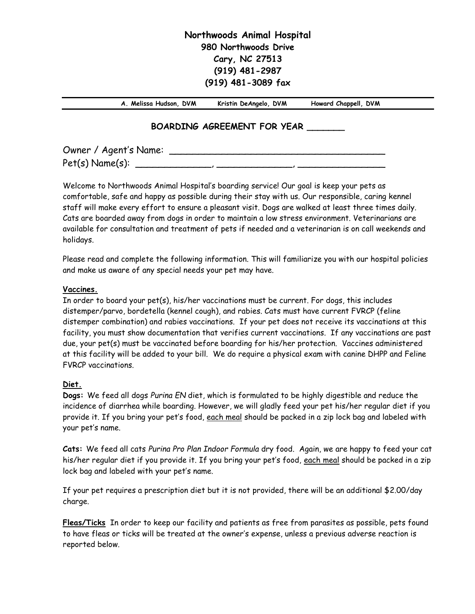# **Northwoods Animal Hospital 980 Northwoods Drive Cary, NC 27513 (919) 481-2987 (919) 481-3089 fax**

 **A. Melissa Hudson, DVM Kristin DeAngelo, DVM Howard Chappell, DVM** 

#### **BOARDING AGREEMENT FOR YEAR \_\_\_\_\_\_\_**

Owner / Agent's Name: \_\_\_\_\_\_\_\_\_\_\_\_\_\_\_\_\_\_\_\_\_\_\_\_\_\_\_\_\_\_\_\_\_\_\_\_\_ Pet(s) Name(s): \_\_\_\_\_\_\_\_\_\_\_\_\_, \_\_\_\_\_\_\_\_\_\_\_\_\_, \_\_\_\_\_\_\_\_\_\_\_\_\_\_\_

Welcome to Northwoods Animal Hospital's boarding service! Our goal is keep your pets as comfortable, safe and happy as possible during their stay with us. Our responsible, caring kennel staff will make every effort to ensure a pleasant visit. Dogs are walked at least three times daily. Cats are boarded away from dogs in order to maintain a low stress environment. Veterinarians are available for consultation and treatment of pets if needed and a veterinarian is on call weekends and holidays.

Please read and complete the following information. This will familiarize you with our hospital policies and make us aware of any special needs your pet may have.

#### **Vaccines.**

In order to board your pet(s), his/her vaccinations must be current. For dogs, this includes distemper/parvo, bordetella (kennel cough), and rabies. Cats must have current FVRCP (feline distemper combination) and rabies vaccinations. If your pet does not receive its vaccinations at this facility, you must show documentation that verifies current vaccinations. If any vaccinations are past due, your pet(s) must be vaccinated before boarding for his/her protection. Vaccines administered at this facility will be added to your bill. We do require a physical exam with canine DHPP and Feline FVRCP vaccinations.

#### **Diet.**

**Dogs:** We feed all dogs *Purina EN* diet, which is formulated to be highly digestible and reduce the incidence of diarrhea while boarding. However, we will gladly feed your pet his/her regular diet if you provide it. If you bring your pet's food, each meal should be packed in a zip lock bag and labeled with your pet's name.

**Cats:** We feed all cats *Purina Pro Plan Indoor Formula* dry food. Again, we are happy to feed your cat his/her regular diet if you provide it. If you bring your pet's food, each meal should be packed in a zip lock bag and labeled with your pet's name.

If your pet requires a prescription diet but it is not provided, there will be an additional \$2.00/day charge.

**Fleas/Ticks** In order to keep our facility and patients as free from parasites as possible, pets found to have fleas or ticks will be treated at the owner's expense, unless a previous adverse reaction is reported below.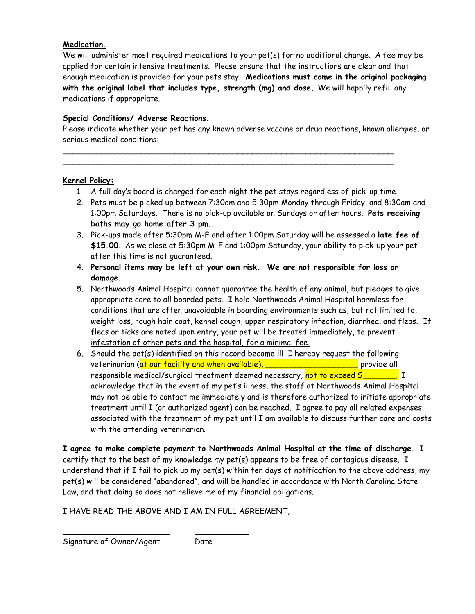#### **Medication.**

We will administer most required medications to your pet(s) for no additional charge. A fee may be applied for certain intensive treatments. Please ensure that the instructions are clear and that enough medication is provided for your pets stay. **Medications must come in the original packaging with the original label that includes type, strength (mg) and dose.** We will happily refill any medications if appropriate.

#### **Special Conditions/ Adverse Reactions.**

Please indicate whether your pet has any known adverse vaccine or drug reactions, known allergies, or serious medical conditions:

#### **Kennel Policy:**

1. A full day's board is charged for each night the pet stays regardless of pick-up time.

\_\_\_\_\_\_\_\_\_\_\_\_\_\_\_\_\_\_\_\_\_\_\_\_\_\_\_\_\_\_\_\_\_\_\_\_\_\_\_\_\_\_\_\_\_\_\_\_\_\_\_\_\_\_\_\_\_\_\_\_\_\_\_\_\_\_\_\_ \_\_\_\_\_\_\_\_\_\_\_\_\_\_\_\_\_\_\_\_\_\_\_\_\_\_\_\_\_\_\_\_\_\_\_\_\_\_\_\_\_\_\_\_\_\_\_\_\_\_\_\_\_\_\_\_\_\_\_\_\_\_\_\_\_\_\_\_

- 2. Pets must be picked up between 7:30am and 5:30pm Monday through Friday, and 8:30am and 1:00pm Saturdays. There is no pick-up available on Sundays or after hours. **Pets receiving baths may go home after 3 pm.**
- 3. Pick-ups made after 5:30pm M-F and after 1:00pm Saturday will be assessed a **late fee of \$15.00**. As we close at 5:30pm M-F and 1:00pm Saturday, your ability to pick-up your pet after this time is not guaranteed.
- 4. **Personal items may be left at your own risk. We are not responsible for loss or damage.**
- 5. Northwoods Animal Hospital cannot guarantee the health of any animal, but pledges to give appropriate care to all boarded pets. I hold Northwoods Animal Hospital harmless for conditions that are often unavoidable in boarding environments such as, but not limited to, weight loss, rough hair coat, kennel cough, upper respiratory infection, diarrhea, and fleas.  $\underline{\text{If}}$ fleas or ticks are noted upon entry, your pet will be treated immediately, to prevent infestation of other pets and the hospital, for a minimal fee.
- 6. Should the pet(s) identified on this record become ill, I hereby request the following veterinarian (at our facility and when available), \_\_\_\_\_\_\_\_\_\_\_\_\_\_\_\_\_\_\_\_\_\_\_\_\_\_\_\_\_ provide all responsible medical/surgical treatment deemed necessary, not to exceed \$ acknowledge that in the event of my pet's illness, the staff at Northwoods Animal Hospital may not be able to contact me immediately and is therefore authorized to initiate appropriate treatment until I (or authorized agent) can be reached. I agree to pay all related expenses associated with the treatment of my pet until I am available to discuss further care and costs with the attending veterinarian.

**I agree to make complete payment to Northwoods Animal Hospital at the time of discharge.** I certify that to the best of my knowledge my pet(s) appears to be free of contagious disease. I understand that if I fail to pick up my pet(s) within ten days of notification to the above address, my pet(s) will be considered "abandoned", and will be handled in accordance with North Carolina State Law, and that doing so does not relieve me of my financial obligations.

### I HAVE READ THE ABOVE AND I AM IN FULL AGREEMENT,

\_\_\_\_\_\_\_\_\_\_\_\_\_\_\_\_\_\_\_\_\_\_ \_\_\_\_\_\_\_\_\_\_\_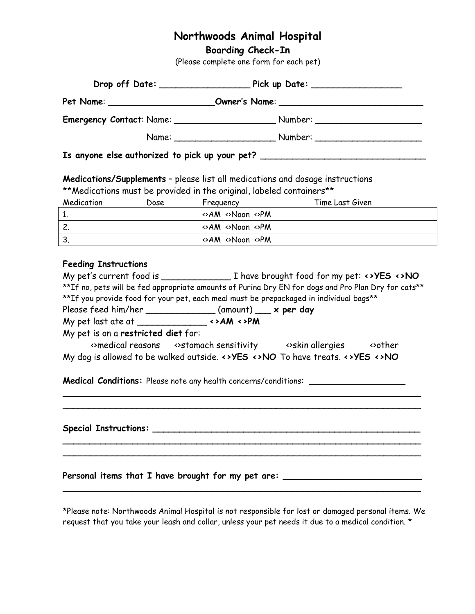# **Northwoods Animal Hospital**

**Boarding Check-In**

(Please complete one form for each pet)

|                                                                                                                                                                                 | Pet Name: _________________________Owner's Name: _______________________________                                                                                                                                                                                                                                                                                                                                                                                                                                                                                                                                                                                                                                 |  |  |  |  |  |  |
|---------------------------------------------------------------------------------------------------------------------------------------------------------------------------------|------------------------------------------------------------------------------------------------------------------------------------------------------------------------------------------------------------------------------------------------------------------------------------------------------------------------------------------------------------------------------------------------------------------------------------------------------------------------------------------------------------------------------------------------------------------------------------------------------------------------------------------------------------------------------------------------------------------|--|--|--|--|--|--|
|                                                                                                                                                                                 |                                                                                                                                                                                                                                                                                                                                                                                                                                                                                                                                                                                                                                                                                                                  |  |  |  |  |  |  |
|                                                                                                                                                                                 |                                                                                                                                                                                                                                                                                                                                                                                                                                                                                                                                                                                                                                                                                                                  |  |  |  |  |  |  |
| Is anyone else authorized to pick up your pet? _________________________________                                                                                                |                                                                                                                                                                                                                                                                                                                                                                                                                                                                                                                                                                                                                                                                                                                  |  |  |  |  |  |  |
|                                                                                                                                                                                 | Medications/Supplements - please list all medications and dosage instructions                                                                                                                                                                                                                                                                                                                                                                                                                                                                                                                                                                                                                                    |  |  |  |  |  |  |
|                                                                                                                                                                                 | **Medications must be provided in the original, labeled containers**                                                                                                                                                                                                                                                                                                                                                                                                                                                                                                                                                                                                                                             |  |  |  |  |  |  |
| Medication                                                                                                                                                                      | Dose Frequency Time Last Given                                                                                                                                                                                                                                                                                                                                                                                                                                                                                                                                                                                                                                                                                   |  |  |  |  |  |  |
| 1.                                                                                                                                                                              |                                                                                                                                                                                                                                                                                                                                                                                                                                                                                                                                                                                                                                                                                                                  |  |  |  |  |  |  |
| 2.                                                                                                                                                                              | «>AM <>Noon <>PM                                                                                                                                                                                                                                                                                                                                                                                                                                                                                                                                                                                                                                                                                                 |  |  |  |  |  |  |
| 3 <sub>1</sub>                                                                                                                                                                  | «>AM <>Noon <>PM                                                                                                                                                                                                                                                                                                                                                                                                                                                                                                                                                                                                                                                                                                 |  |  |  |  |  |  |
| Please feed him/her _______________ (amount) ___ x per day<br>My pet last ate at $\frac{1}{2}$ $\leftrightarrow$ AM $\leftrightarrow$ PM<br>My pet is on a restricted diet for: | My pet's current food is $\sqrt{1 + \frac{1}{2}}$ I have brought food for my pet: <>YES <>NO<br>**If no, pets will be fed appropriate amounts of Purina Dry EN for dogs and Pro Plan Dry for cats**<br>**If you provide food for your pet, each meal must be prepackaged in individual bags**<br>Example of the control of the control of the control of the control of the control of the control of the control of the control of the control of the control of the control of the control of the control of the control of t<br>My dog is allowed to be walked outside. <>YES <>NO To have treats. <>YES <>NO<br><b>Medical Conditions:</b> Please note any health concerns/conditions: _____________________ |  |  |  |  |  |  |
|                                                                                                                                                                                 |                                                                                                                                                                                                                                                                                                                                                                                                                                                                                                                                                                                                                                                                                                                  |  |  |  |  |  |  |
|                                                                                                                                                                                 | Personal items that I have brought for my pet are: _____________________________                                                                                                                                                                                                                                                                                                                                                                                                                                                                                                                                                                                                                                 |  |  |  |  |  |  |
|                                                                                                                                                                                 |                                                                                                                                                                                                                                                                                                                                                                                                                                                                                                                                                                                                                                                                                                                  |  |  |  |  |  |  |

\*Please note: Northwoods Animal Hospital is not responsible for lost or damaged personal items. We request that you take your leash and collar, unless your pet needs it due to a medical condition. \*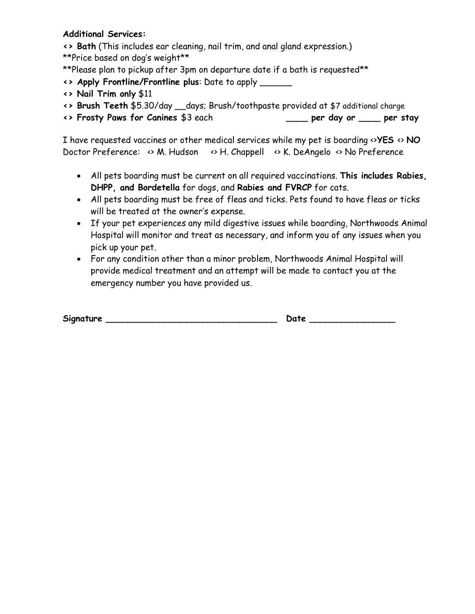## **Additional Services:**

**<> Bath** (This includes ear cleaning, nail trim, and anal gland expression.) \*\*Price based on dog's weight\*\*

\*\*Please plan to pickup after 3pm on departure date if a bath is requested\*\*

- **<> Apply Frontline/Frontline plus**: Date to apply \_\_\_\_\_\_
- **<> Nail Trim only** \$11
- **<> Brush Teeth** \$5.30/day \_\_days; Brush/toothpaste provided at \$7 additional charge
- **<> Frosty Paws for Canines** \$3 each **\_\_\_\_ per day or \_\_\_\_ per stay**

I have requested vaccines or other medical services while my pet is boarding <>**YES** <> **NO** Doctor Preference: <> M. Hudson <> H. Chappell <> K. DeAngelo <> No Preference

- All pets boarding must be current on all required vaccinations. **This includes Rabies, DHPP, and Bordetella** for dogs, and **Rabies and FVRCP** for cats.
- All pets boarding must be free of fleas and ticks. Pets found to have fleas or ticks will be treated at the owner's expense.
- If your pet experiences any mild digestive issues while boarding, Northwoods Animal Hospital will monitor and treat as necessary, and inform you of any issues when you pick up your pet.
- For any condition other than a minor problem, Northwoods Animal Hospital will provide medical treatment and an attempt will be made to contact you at the emergency number you have provided us.